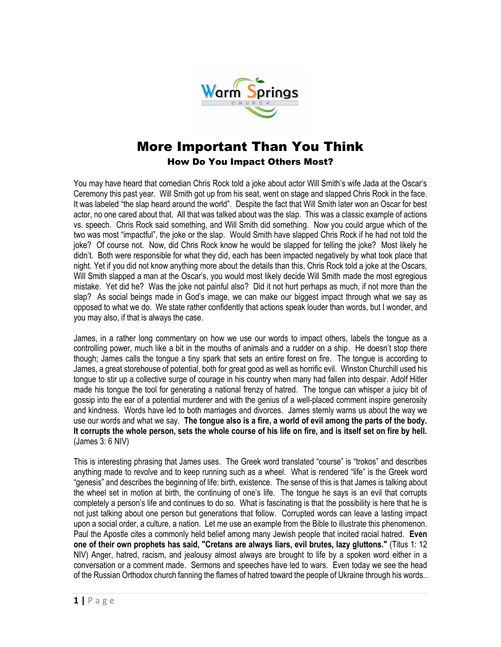

## More Important Than You Think How Do You Impact Others Most?

You may have heard that comedian Chris Rock told a joke about actor Will Smith's wife Jada at the Oscar's Ceremony this past year. Will Smith got up from his seat, went on stage and slapped Chris Rock in the face. It was labeled "the slap heard around the world". Despite the fact that Will Smith later won an Oscar for best actor, no one cared about that. All that was talked about was the slap. This was a classic example of actions vs. speech. Chris Rock said something, and Will Smith did something. Now you could argue which of the two was most "impactful", the joke or the slap. Would Smith have slapped Chris Rock if he had not told the joke? Of course not. Now, did Chris Rock know he would be slapped for telling the joke? Most likely he didn't. Both were responsible for what they did, each has been impacted negatively by what took place that night. Yet if you did not know anything more about the details than this, Chris Rock told a joke at the Oscars, Will Smith slapped a man at the Oscar's, you would most likely decide Will Smith made the most egregious mistake. Yet did he? Was the joke not painful also? Did it not hurt perhaps as much, if not more than the slap? As social beings made in God's image, we can make our biggest impact through what we say as opposed to what we do. We state rather confidently that actions speak louder than words, but I wonder, and you may also, if that is always the case.

James, in a rather long commentary on how we use our words to impact others, labels the tongue as a controlling power, much like a bit in the mouths of animals and a rudder on a ship. He doesn't stop there though; James calls the tongue a tiny spark that sets an entire forest on fire. The tongue is according to James, a great storehouse of potential, both for great good as well as horrific evil. Winston Churchill used his tongue to stir up a collective surge of courage in his country when many had fallen into despair. Adolf Hitler made his tongue the tool for generating a national frenzy of hatred. The tongue can whisper a juicy bit of gossip into the ear of a potential murderer and with the genius of a well-placed comment inspire generosity and kindness. Words have led to both marriages and divorces. James sternly warns us about the way we use our words and what we say. **The tongue also is a fire, a world of evil among the parts of the body. It corrupts the whole person, sets the whole course of his life on fire, and is itself set on fire by hell.**  (James 3: 6 NIV)

This is interesting phrasing that James uses. The Greek word translated "course" is "trokos" and describes anything made to revolve and to keep running such as a wheel. What is rendered "life" is the Greek word "genesis" and describes the beginning of life: birth, existence. The sense of this is that James is talking about the wheel set in motion at birth, the continuing of one's life. The tongue he says is an evil that corrupts completely a person's life and continues to do so. What is fascinating is that the possibility is here that he is not just talking about one person but generations that follow. Corrupted words can leave a lasting impact upon a social order, a culture, a nation. Let me use an example from the Bible to illustrate this phenomenon. Paul the Apostle cites a commonly held belief among many Jewish people that incited racial hatred. **Even one of their own prophets has said, "Cretans are always liars, evil brutes, lazy gluttons."** (Titus 1: 12 NIV) Anger, hatred, racism, and jealousy almost always are brought to life by a spoken word either in a conversation or a comment made. Sermons and speeches have led to wars. Even today we see the head of the Russian Orthodox church fanning the flames of hatred toward the people of Ukraine through his words..